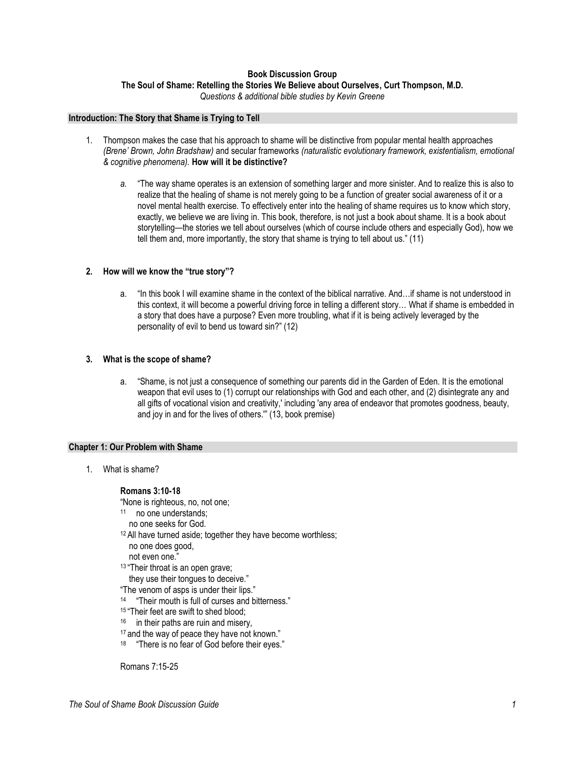# **Book Discussion Group The Soul of Shame: Retelling the Stories We Believe about Ourselves, Curt Thompson, M.D.**

*Questions & additional bible studies by Kevin Greene*

### **Introduction: The Story that Shame is Trying to Tell**

- 1. Thompson makes the case that his approach to shame will be distinctive from popular mental health approaches *(Brene' Brown, John Bradshaw)* and secular frameworks *(naturalistic evolutionary framework, existentialism, emotional & cognitive phenomena).* **How will it be distinctive?**
	- *a.* "The way shame operates is an extension of something larger and more sinister. And to realize this is also to realize that the healing of shame is not merely going to be a function of greater social awareness of it or a novel mental health exercise. To effectively enter into the healing of shame requires us to know which story, exactly, we believe we are living in. This book, therefore, is not just a book about shame. It is a book about storytelling—the stories we tell about ourselves (which of course include others and especially God), how we tell them and, more importantly, the story that shame is trying to tell about us." (11)

# **2. How will we know the "true story"?**

a. "In this book I will examine shame in the context of the biblical narrative. And…if shame is not understood in this context, it will become a powerful driving force in telling a different story… What if shame is embedded in a story that does have a purpose? Even more troubling, what if it is being actively leveraged by the personality of evil to bend us toward sin?" (12)

# **3. What is the scope of shame?**

a. "Shame, is not just a consequence of something our parents did in the Garden of Eden. It is the emotional weapon that evil uses to (1) corrupt our relationships with God and each other, and (2) disintegrate any and all gifts of vocational vision and creativity,' including 'any area of endeavor that promotes goodness, beauty, and joy in and for the lives of others.'" (13, book premise)

# **Chapter 1: Our Problem with Shame**

1. What is shame?

# **Romans 3:10-18**

- "None is righteous, no, not one;
- 11 no one understands;
- no one seeks for God.
- <sup>12</sup> All have turned aside; together they have become worthless; no one does good,
	- not even one."
- 13 "Their throat is an open grave;
- they use their tongues to deceive."
- "The venom of asps is under their lips."
- 14 "Their mouth is full of curses and bitterness."
- <sup>15</sup> "Their feet are swift to shed blood:
- <sup>16</sup> in their paths are ruin and misery,
- 17 and the way of peace they have not known."
- <sup>18</sup> "There is no fear of God before their eyes."

Romans 7:15-25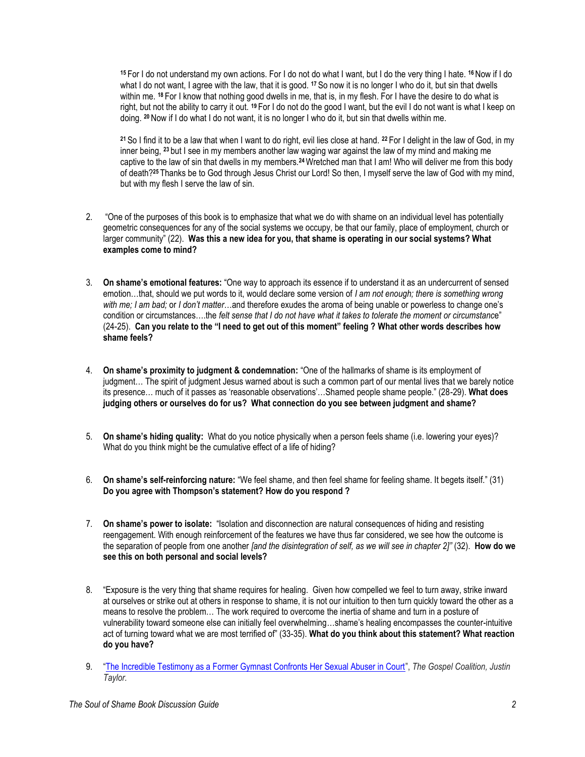**<sup>15</sup>** For I do not understand my own actions. For I do not do what I want, but I do the very thing I hate. **<sup>16</sup>** Now if I do what I do not want, I agree with the law, that it is good. **<sup>17</sup>** So now it is no longer I who do it, but sin that dwells within me. **<sup>18</sup>** For I know that nothing good dwells in me, that is, in my flesh. For I have the desire to do what is right, but not the ability to carry it out. **<sup>19</sup>** For I do not do the good I want, but the evil I do not want is what I keep on doing. **<sup>20</sup>** Now if I do what I do not want, it is no longer I who do it, but sin that dwells within me.

**<sup>21</sup>** So I find it to be a law that when I want to do right, evil lies close at hand. **<sup>22</sup>** For I delight in the law of God, in my inner being, **<sup>23</sup>** but I see in my members another law waging war against the law of my mind and making me captive to the law of sin that dwells in my members.**24**Wretched man that I am! Who will deliver me from this body of death?**<sup>25</sup>** Thanks be to God through Jesus Christ our Lord! So then, I myself serve the law of God with my mind, but with my flesh I serve the law of sin.

- 2. "One of the purposes of this book is to emphasize that what we do with shame on an individual level has potentially geometric consequences for any of the social systems we occupy, be that our family, place of employment, church or larger community" (22). **Was this a new idea for you, that shame is operating in our social systems? What examples come to mind?**
- 3. **On shame's emotional features:** "One way to approach its essence if to understand it as an undercurrent of sensed emotion…that, should we put words to it, would declare some version of *I am not enough; there is something wrong with me; I am bad;* or *I don't matter*…and therefore exudes the aroma of being unable or powerless to change one's condition or circumstances….the *felt sense that I do not have what it takes to tolerate the moment or circumstanc*e" (24-25). **Can you relate to the "I need to get out of this moment" feeling ? What other words describes how shame feels?**
- 4. **On shame's proximity to judgment & condemnation:** "One of the hallmarks of shame is its employment of judgment… The spirit of judgment Jesus warned about is such a common part of our mental lives that we barely notice its presence… much of it passes as 'reasonable observations'…Shamed people shame people." (28-29). **What does judging others or ourselves do for us? What connection do you see between judgment and shame?**
- 5. **On shame's hiding quality:** What do you notice physically when a person feels shame (i.e. lowering your eyes)? What do you think might be the cumulative effect of a life of hiding?
- 6. **On shame's self-reinforcing nature:** "We feel shame, and then feel shame for feeling shame. It begets itself." (31) **Do you agree with Thompson's statement? How do you respond ?**
- 7. **On shame's power to isolate:** "Isolation and disconnection are natural consequences of hiding and resisting reengagement. With enough reinforcement of the features we have thus far considered, we see how the outcome is the separation of people from one another *[and the disintegration of self, as we will see in chapter 2]"* (32). **How do we see this on both personal and social levels?**
- 8. "Exposure is the very thing that shame requires for healing. Given how compelled we feel to turn away, strike inward at ourselves or strike out at others in response to shame, it is not our intuition to then turn quickly toward the other as a means to resolve the problem… The work required to overcome the inertia of shame and turn in a posture of vulnerability toward someone else can initially feel overwhelming…shame's healing encompasses the counter-intuitive act of turning toward what we are most terrified of" (33-35). **What do you think about this statement? What reaction do you have?**
- 9. "[The Incredible Testimony as a Former Gymnast Confronts Her Sexual Abuser in Court](https://www.thegospelcoalition.org/blogs/justin-taylor/incredible-testimony-former-gymnast-confronts-sexual-abuser-court/)", *The Gospel Coalition, Justin Taylor.*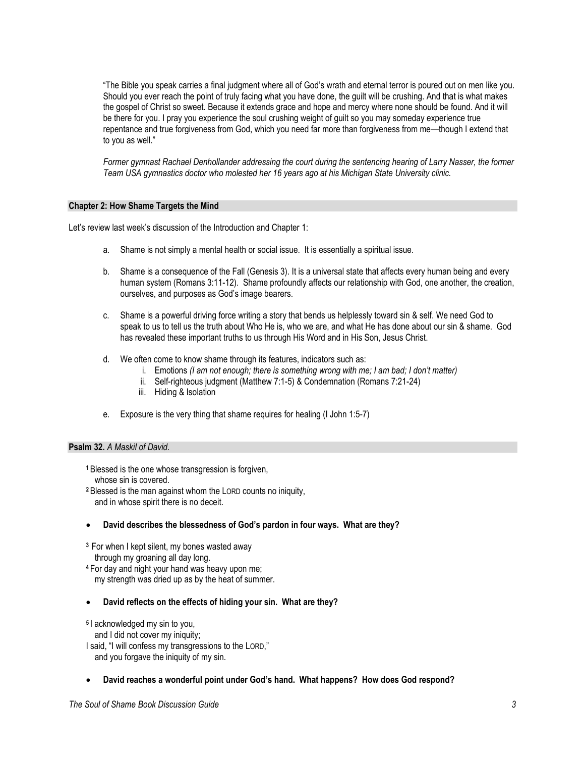"The Bible you speak carries a final judgment where all of God's wrath and eternal terror is poured out on men like you. Should you ever reach the point of truly facing what you have done, the guilt will be crushing. And that is what makes the gospel of Christ so sweet. Because it extends grace and hope and mercy where none should be found. And it will be there for you. I pray you experience the soul crushing weight of guilt so you may someday experience true repentance and true forgiveness from God, which you need far more than forgiveness from me—though I extend that to you as well."

*Former gymnast Rachael Denhollander addressing the court during the sentencing hearing of Larry Nasser, the former Team USA gymnastics doctor who molested her 16 years ago at his Michigan State University clinic.*

### **Chapter 2: How Shame Targets the Mind**

Let's review last week's discussion of the Introduction and Chapter 1:

- a. Shame is not simply a mental health or social issue. It is essentially a spiritual issue.
- b. Shame is a consequence of the Fall (Genesis 3). It is a universal state that affects every human being and every human system (Romans 3:11-12). Shame profoundly affects our relationship with God, one another, the creation, ourselves, and purposes as God's image bearers.
- c. Shame is a powerful driving force writing a story that bends us helplessly toward sin & self. We need God to speak to us to tell us the truth about Who He is, who we are, and what He has done about our sin & shame. God has revealed these important truths to us through His Word and in His Son, Jesus Christ.
- d. We often come to know shame through its features, indicators such as:
	- i. Emotions *(I am not enough; there is something wrong with me; I am bad; I don't matter)*
	- ii. Self-righteous judgment (Matthew 7:1-5) & Condemnation (Romans 7:21-24)
	- iii. Hiding & Isolation
- e. Exposure is the very thing that shame requires for healing (I John 1:5-7)

# **Psalm 32.** *A Maskil of David.*

- **<sup>1</sup>** Blessed is the one whose transgression is forgiven, whose sin is covered.
- **<sup>2</sup>** Blessed is the man against whom the LORD counts no iniquity, and in whose spirit there is no deceit.
- **David describes the blessedness of God's pardon in four ways. What are they?**
- **<sup>3</sup>** For when I kept silent, my bones wasted away
- through my groaning all day long.
- **<sup>4</sup>** For day and night your hand was heavy upon me; my strength was dried up as by the heat of summer.
- **David reflects on the effects of hiding your sin. What are they?**
- **5** I acknowledged my sin to you,
- and I did not cover my iniquity;
- I said, "I will confess my transgressions to the LORD," and you forgave the iniquity of my sin.
- **David reaches a wonderful point under God's hand. What happens? How does God respond?**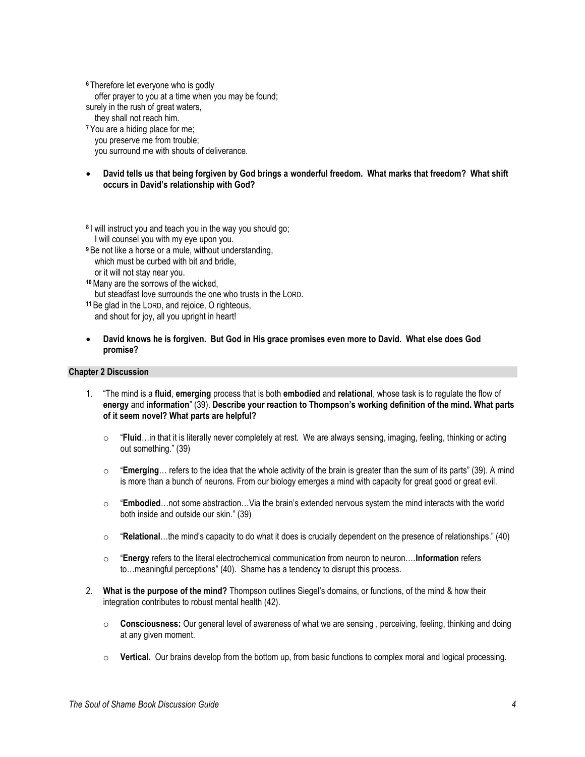**<sup>6</sup>** Therefore let everyone who is godly offer prayer to you at a time when you may be found; surely in the rush of great waters, they shall not reach him. **<sup>7</sup>** You are a hiding place for me; you preserve me from trouble;

you surround me with shouts of deliverance.

 **David tells us that being forgiven by God brings a wonderful freedom. What marks that freedom? What shift occurs in David's relationship with God?**

**8** I will instruct you and teach you in the way you should go; I will counsel you with my eye upon you.

- **<sup>9</sup>** Be not like a horse or a mule, without understanding, which must be curbed with bit and bridle, or it will not stay near you.
- **<sup>10</sup>**Many are the sorrows of the wicked, but steadfast love surrounds the one who trusts in the LORD.
- **<sup>11</sup>** Be glad in the LORD, and rejoice, O righteous, and shout for joy, all you upright in heart!
- **David knows he is forgiven. But God in His grace promises even more to David. What else does God promise?**

#### **Chapter 2 Discussion**

- 1. "The mind is a **fluid**, **emerging** process that is both **embodied** and **relational**, whose task is to regulate the flow of **energy** and **information**" (39). **Describe your reaction to Thompson's working definition of the mind. What parts of it seem novel? What parts are helpful?**
	- o "**Fluid**…in that it is literally never completely at rest. We are always sensing, imaging, feeling, thinking or acting out something." (39)
	- o "**Emerging**… refers to the idea that the whole activity of the brain is greater than the sum of its parts" (39). A mind is more than a bunch of neurons. From our biology emerges a mind with capacity for great good or great evil.
	- o "**Embodied**…not some abstraction…Via the brain's extended nervous system the mind interacts with the world both inside and outside our skin." (39)
	- o "**Relational**…the mind's capacity to do what it does is crucially dependent on the presence of relationships." (40)
	- o "**Energy** refers to the literal electrochemical communication from neuron to neuron….**Information** refers to…meaningful perceptions" (40). Shame has a tendency to disrupt this process.
- 2. **What is the purpose of the mind?** Thompson outlines Siegel's domains, or functions, of the mind & how their integration contributes to robust mental health (42).
	- o **Consciousness:** Our general level of awareness of what we are sensing , perceiving, feeling, thinking and doing at any given moment.
	- o **Vertical.** Our brains develop from the bottom up, from basic functions to complex moral and logical processing.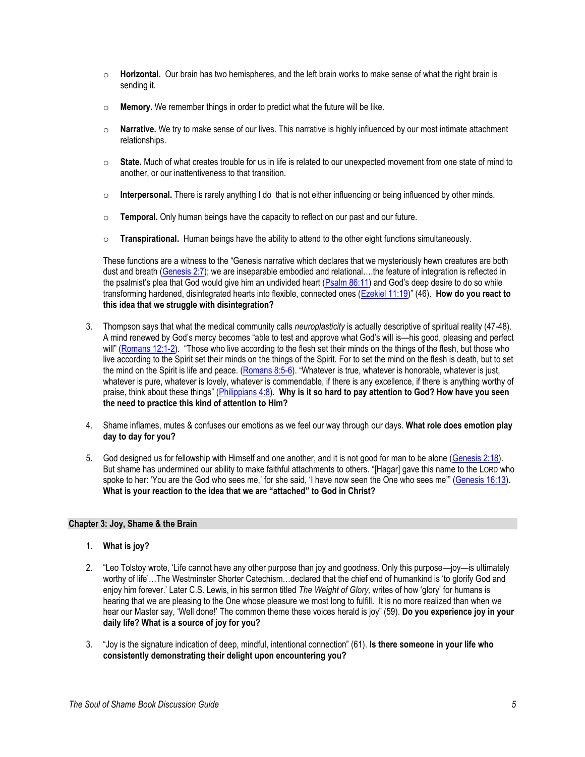- o **Horizontal.** Our brain has two hemispheres, and the left brain works to make sense of what the right brain is sending it.
- o **Memory.** We remember things in order to predict what the future will be like.
- o **Narrative.** We try to make sense of our lives. This narrative is highly influenced by our most intimate attachment relationships.
- o **State.** Much of what creates trouble for us in life is related to our unexpected movement from one state of mind to another, or our inattentiveness to that transition.
- o **Interpersonal.** There is rarely anything I do that is not either influencing or being influenced by other minds.
- o **Temporal.** Only human beings have the capacity to reflect on our past and our future.
- o **Transpirational.** Human beings have the ability to attend to the other eight functions simultaneously.

These functions are a witness to the "Genesis narrative which declares that we mysteriously hewn creatures are both dust and breath [\(Genesis 2:7](https://www.biblegateway.com/passage/?search=Genesis+2%3A7&version=ESV)); we are inseparable embodied and relational....the feature of integration is reflected in the psalmist's plea that God would give him an undivided heart ([Psalm 86:11\)](https://www.biblegateway.com/passage/?search=Psalm+86%3A11&version=ESV) and God's deep desire to do so while transforming hardened, disintegrated hearts into flexible, connected ones [\(Ezekiel 11:19\)](https://www.biblegateway.com/passage/?search=Ezekiel+11%3A19&version=NIV)" (46). **How do you react to this idea that we struggle with disintegration?**

- 3. Thompson says that what the medical community calls *neuroplasticity* is actually descriptive of spiritual reality (47-48). A mind renewed by God's mercy becomes "able to test and approve what God's will is—his good, pleasing and perfect will" ([Romans 12:1-2](https://www.biblegateway.com/passage/?search=Romans+12%3A1-2&version=ESV)). "Those who live according to the flesh set their minds on the things of the flesh, but those who live according to the Spirit set their minds on the things of the Spirit. For to set the mind on the flesh is death, but to set the mind on the Spirit is life and peace. [\(Romans 8:5-6\)](https://www.biblegateway.com/passage/?search=Romans+8%3A5-6&version=ESV). "Whatever is true, whatever is honorable, whatever is just, whatever is pure, whatever is lovely, whatever is commendable, if there is any excellence, if there is anything worthy of praise, think about these things" [\(Philippians 4:8\)](https://www.biblegateway.com/passage/?search=Philippians+4%3A8&version=ESV). **Why is it so hard to pay attention to God? How have you seen the need to practice this kind of attention to Him?**
- 4. Shame inflames, mutes & confuses our emotions as we feel our way through our days. **What role does emotion play day to day for you?**
- 5. God designed us for fellowship with Himself and one another, and it is not good for man to be alone [\(Genesis 2:18\)](https://www.biblegateway.com/passage/?search=Genesis+2%3A18&version=ESV). But shame has undermined our ability to make faithful attachments to others. "[Hagar] gave this name to the LORD who spoke to her: 'You are the God who sees me,' for she said, 'I have now seen the One who sees me'" ([Genesis 16:13\)](https://www.biblegateway.com/passage/?search=gen+16%3A13&version=NIV). **What is your reaction to the idea that we are "attached" to God in Christ?**

# **Chapter 3: Joy, Shame & the Brain**

- 1. **What is joy?**
- 2. "Leo Tolstoy wrote, 'Life cannot have any other purpose than joy and goodness. Only this purpose—joy—is ultimately worthy of life'…The Westminster Shorter Catechism…declared that the chief end of humankind is 'to glorify God and enjoy him forever.' Later C.S. Lewis, in his sermon titled *The Weight of Glory,* writes of how 'glory' for humans is hearing that we are pleasing to the One whose pleasure we most long to fulfill. It is no more realized than when we hear our Master say, 'Well done!' The common theme these voices herald is joy" (59). **Do you experience joy in your daily life? What is a source of joy for you?**
- 3. "Joy is the signature indication of deep, mindful, intentional connection" (61). **Is there someone in your life who consistently demonstrating their delight upon encountering you?**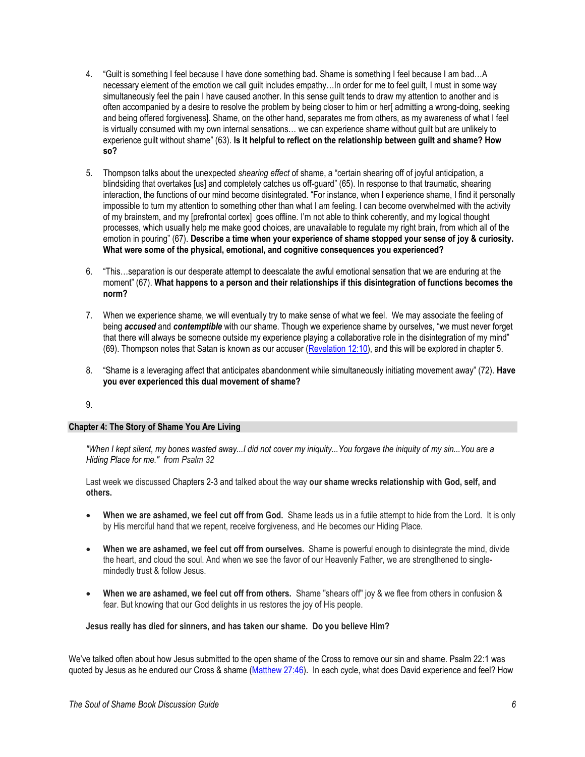- 4. "Guilt is something I feel because I have done something bad. Shame is something I feel because I am bad…A necessary element of the emotion we call guilt includes empathy…In order for me to feel guilt, I must in some way simultaneously feel the pain I have caused another. In this sense guilt tends to draw my attention to another and is often accompanied by a desire to resolve the problem by being closer to him or her[ admitting a wrong-doing, seeking and being offered forgiveness]. Shame, on the other hand, separates me from others, as my awareness of what I feel is virtually consumed with my own internal sensations… we can experience shame without guilt but are unlikely to experience guilt without shame" (63). **Is it helpful to reflect on the relationship between guilt and shame? How so?**
- 5. Thompson talks about the unexpected *shearing effect* of shame, a "certain shearing off of joyful anticipation, a blindsiding that overtakes [us] and completely catches us off-guard" (65). In response to that traumatic, shearing interaction, the functions of our mind become disintegrated. "For instance, when I experience shame, I find it personally impossible to turn my attention to something other than what I am feeling. I can become overwhelmed with the activity of my brainstem, and my [prefrontal cortex] goes offline. I'm not able to think coherently, and my logical thought processes, which usually help me make good choices, are unavailable to regulate my right brain, from which all of the emotion in pouring" (67). **Describe a time when your experience of shame stopped your sense of joy & curiosity. What were some of the physical, emotional, and cognitive consequences you experienced?**
- 6. "This…separation is our desperate attempt to deescalate the awful emotional sensation that we are enduring at the moment" (67). **What happens to a person and their relationships if this disintegration of functions becomes the norm?**
- 7. When we experience shame, we will eventually try to make sense of what we feel. We may associate the feeling of being *accused* and *contemptible* with our shame. Though we experience shame by ourselves, "we must never forget that there will always be someone outside my experience playing a collaborative role in the disintegration of my mind" (69). Thompson notes that Satan is known as our accuser [\(Revelation 12:10\)](https://www.biblegateway.com/passage/?search=Revelation+12%3A10&version=ESV), and this will be explored in chapter 5.
- 8. "Shame is a leveraging affect that anticipates abandonment while simultaneously initiating movement away" (72). **Have you ever experienced this dual movement of shame?**

9.

#### **Chapter 4: The Story of Shame You Are Living**

*"When I kept silent, my bones wasted away...I did not cover my iniquity...You forgave the iniquity of my sin...You are a Hiding Place for me." from Psalm 32*

Last week we discussed Chapters 2-3 and talked about the way **our shame wrecks relationship with God, self, and others.**

- **When we are ashamed, we feel cut off from God.** Shame leads us in a futile attempt to hide from the Lord. It is only by His merciful hand that we repent, receive forgiveness, and He becomes our Hiding Place.
- **When we are ashamed, we feel cut off from ourselves.** Shame is powerful enough to disintegrate the mind, divide the heart, and cloud the soul. And when we see the favor of our Heavenly Father, we are strengthened to singlemindedly trust & follow Jesus.
- **When we are ashamed, we feel cut off from others.** Shame "shears off" joy & we flee from others in confusion & fear. But knowing that our God delights in us restores the joy of His people.

**Jesus really has died for sinners, and has taken our shame. Do you believe Him?**

We've talked often about how Jesus submitted to the open shame of the Cross to remove our sin and shame. Psalm 22:1 was quoted by Jesus as he endured our Cross & shame [\(Matthew 27:46\)](https://www.biblegateway.com/passage/?search=Matthew+27%3A46&version=ESV). In each cycle, what does David experience and feel? How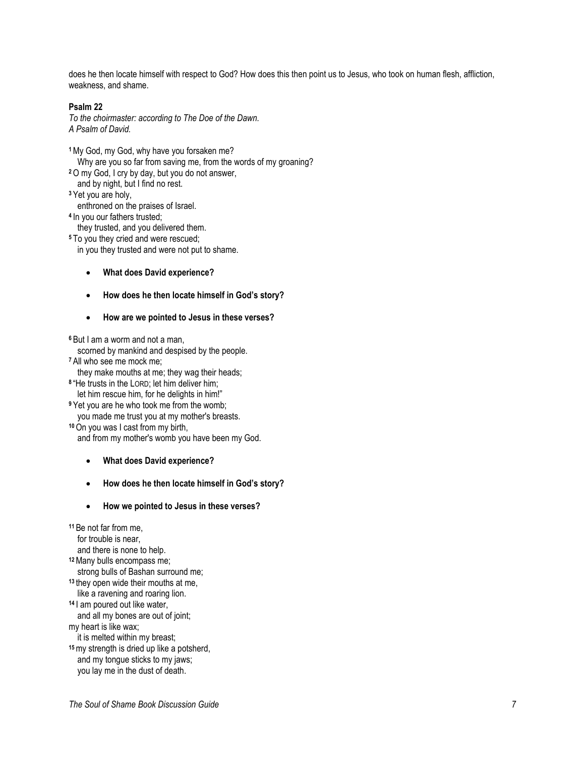does he then locate himself with respect to God? How does this then point us to Jesus, who took on human flesh, affliction, weakness, and shame.

### **Psalm 22**

*To the choirmaster: according to The Doe of the Dawn. A Psalm of David.*

- **<sup>1</sup>**My God, my God, why have you forsaken me?
- Why are you so far from saving me, from the words of my groaning?
- **<sup>2</sup>**O my God, I cry by day, but you do not answer,
- and by night, but I find no rest.
- **<sup>3</sup>** Yet you are holy,
- enthroned on the praises of Israel.
- **4** In you our fathers trusted;
- they trusted, and you delivered them.
- **<sup>5</sup>** To you they cried and were rescued;
	- in you they trusted and were not put to shame.
		- **What does David experience?**
		- **How does he then locate himself in God's story?**
		- **How are we pointed to Jesus in these verses?**

**<sup>6</sup>** But I am a worm and not a man,

- scorned by mankind and despised by the people.
- **<sup>7</sup>** All who see me mock me;
	- they make mouths at me; they wag their heads;
- **8** "He trusts in the LORD; let him deliver him; let him rescue him, for he delights in him!"
- **<sup>9</sup>** Yet you are he who took me from the womb;
- you made me trust you at my mother's breasts.
- **<sup>10</sup>**On you was I cast from my birth,

and from my mother's womb you have been my God.

- **What does David experience?**
- **How does he then locate himself in God's story?**
- **How we pointed to Jesus in these verses?**

**<sup>11</sup>** Be not far from me, for trouble is near, and there is none to help. **<sup>12</sup>**Many bulls encompass me; strong bulls of Bashan surround me; **<sup>13</sup>** they open wide their mouths at me, like a ravening and roaring lion. **<sup>14</sup>** I am poured out like water, and all my bones are out of joint; my heart is like wax; it is melted within my breast; **<sup>15</sup>**my strength is dried up like a potsherd, and my tongue sticks to my jaws; you lay me in the dust of death.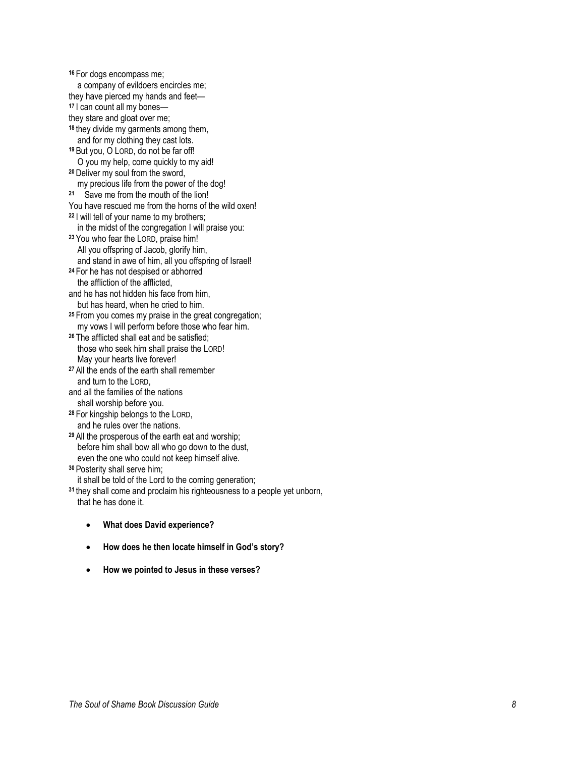**<sup>16</sup>** For dogs encompass me; a company of evildoers encircles me; they have pierced my hands and feet — **<sup>17</sup>** I can count all my bones they stare and gloat over me; **<sup>18</sup>** they divide my garments among them, and for my clothing they cast lots. **<sup>19</sup>** But you, O LORD, do not be far off! O you my help, come quickly to my aid! **<sup>20</sup>** Deliver my soul from the sword, my precious life from the power of the dog! **21** Save me from the mouth of the lion! You have rescued me from the horns of the wild oxen! **<sup>22</sup>** I will tell of your name to my brothers; in the midst of the congregation I will praise you: **<sup>23</sup>** You who fear the LORD, praise him! All you offspring of Jacob, glorify him, and stand in awe of him, all you offspring of Israel! **<sup>24</sup>** For he has not despised or abhorred the affliction of the afflicted, and he has not hidden his face from him, but has heard, when he cried to him. **<sup>25</sup>** From you comes my praise in the great congregation; my vows I will perform before those who fear him. **<sup>26</sup>** The afflicted shall eat and be satisfied; those who seek him shall praise the LORD! May your hearts live forever! **<sup>27</sup>** All the ends of the earth shall remember and turn to the LORD, and all the families of the nations shall worship before you. **<sup>28</sup>** For kingship belongs to the LORD, and he rules over the nations. **<sup>29</sup>** All the prosperous of the earth eat and worship; before him shall bow all who go down to the dust, even the one who could not keep himself alive. **<sup>30</sup>** Posterity shall serve him; it shall be told of the Lord to the coming generation; **<sup>31</sup>** they shall come and proclaim his righteousness to a people yet unborn, that he has done it.

- **What does David experience?**
- **How does he then locate himself in God's story?**
- **How we pointed to Jesus in these verses?**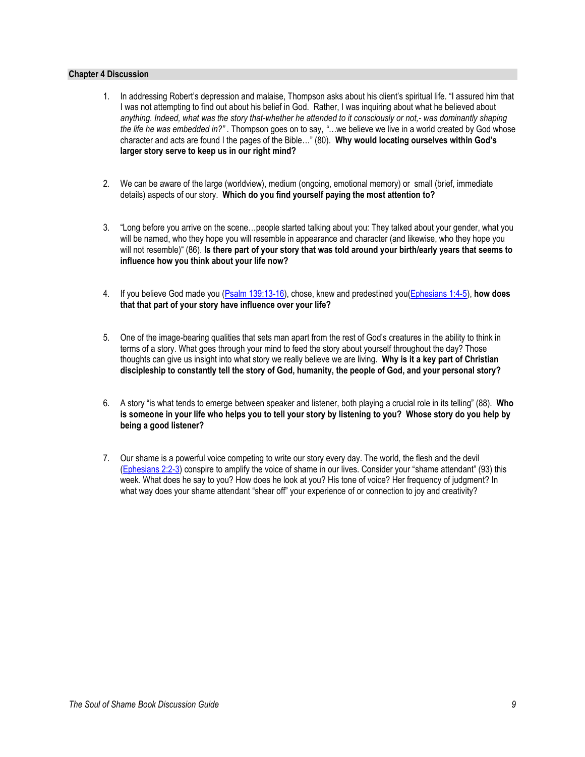### **Chapter 4 Discussion**

- 1. In addressing Robert's depression and malaise, Thompson asks about his client's spiritual life. "I assured him that I was not attempting to find out about his belief in God. Rather, I was inquiring about what he believed about *anything. Indeed, what was the story that-whether he attended to it consciously or not,- was dominantly shaping the life he was embedded in?" .* Thompson goes on to say, *"…*we believe we live in a world created by God whose character and acts are found I the pages of the Bible…" (80). **Why would locating ourselves within God's larger story serve to keep us in our right mind?**
- 2. We can be aware of the large (worldview), medium (ongoing, emotional memory) or small (brief, immediate details) aspects of our story. **Which do you find yourself paying the most attention to?**
- 3. "Long before you arrive on the scene…people started talking about you: They talked about your gender, what you will be named, who they hope you will resemble in appearance and character (and likewise, who they hope you will not resemble)" (86). **Is there part of your story that was told around your birth/early years that seems to influence how you think about your life now?**
- 4. If you believe God made you [\(Psalm 139:13-16\)](https://www.biblegateway.com/passage/?search=Psalm+139%3A13-16&version=ESV), chose, knew and predestined you[\(Ephesians 1:4-5\)](https://www.biblegateway.com/passage/?search=Ephesians+1%3A4-5&version=ESV), **how does that that part of your story have influence over your life?**
- 5. One of the image-bearing qualities that sets man apart from the rest of God's creatures in the ability to think in terms of a story. What goes through your mind to feed the story about yourself throughout the day? Those thoughts can give us insight into what story we really believe we are living. **Why is it a key part of Christian discipleship to constantly tell the story of God, humanity, the people of God, and your personal story?**
- 6. A story "is what tends to emerge between speaker and listener, both playing a crucial role in its telling" (88). **Who is someone in your life who helps you to tell your story by listening to you? Whose story do you help by being a good listener?**
- 7. Our shame is a powerful voice competing to write our story every day. The world, the flesh and the devil [\(Ephesians 2:2-3](https://www.biblegateway.com/passage/?search=Ephesians+2%3A2-3&version=ESV)) conspire to amplify the voice of shame in our lives. Consider your "shame attendant" (93) this week. What does he say to you? How does he look at you? His tone of voice? Her frequency of judgment? In what way does your shame attendant "shear off" your experience of or connection to joy and creativity?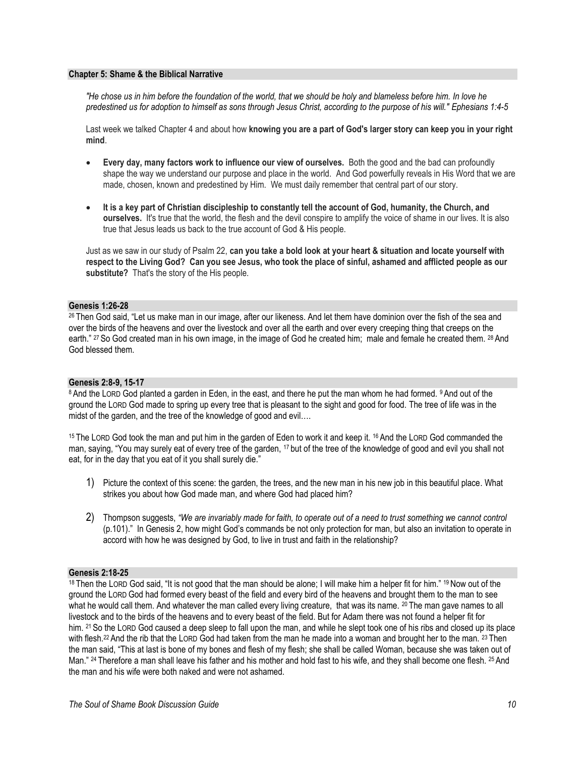#### **Chapter 5: Shame & the Biblical Narrative**

*"He chose us in him before the foundation of the world, that we should be holy and blameless before him. In love he predestined us for adoption to himself as sons through Jesus Christ, according to the purpose of his will." Ephesians 1:4-5*

Last week we talked Chapter 4 and about how **knowing you are a part of God's larger story can keep you in your right mind**.

- **Every day, many factors work to influence our view of ourselves.** Both the good and the bad can profoundly shape the way we understand our purpose and place in the world. And God powerfully reveals in His Word that we are made, chosen, known and predestined by Him. We must daily remember that central part of our story.
- **It is a key part of Christian discipleship to constantly tell the account of God, humanity, the Church, and ourselves.** It's true that the world, the flesh and the devil conspire to amplify the voice of shame in our lives. It is also true that Jesus leads us back to the true account of God & His people.

Just as we saw in our study of Psalm 22, **can you take a bold look at your heart & situation and locate yourself with respect to the Living God? Can you see Jesus, who took the place of sinful, ashamed and afflicted people as our substitute?** That's the story of the His people.

#### **Genesis 1:26-28**

26 Then God said, "Let us make man in our image, after our likeness. And let them have dominion over the fish of the sea and over the birds of the heavens and over the livestock and over all the earth and over every creeping thing that creeps on the earth." <sup>27</sup> So God created man in his own image, in the image of God he created him; male and female he created them. <sup>28</sup> And God blessed them.

#### **Genesis 2:8-9, 15-17**

8 And the LORD God planted a garden in Eden, in the east, and there he put the man whom he had formed. 9 And out of the ground the LORD God made to spring up every tree that is pleasant to the sight and good for food. The tree of life was in the midst of the garden, and the tree of the knowledge of good and evil….

<sup>15</sup> The LORD God took the man and put him in the garden of Eden to work it and keep it. <sup>16</sup> And the LORD God commanded the man, saying, "You may surely eat of every tree of the garden, <sup>17</sup> but of the tree of the knowledge of good and evil you shall not eat, for in the day that you eat of it you shall surely die."

- 1) Picture the context of this scene: the garden, the trees, and the new man in his new job in this beautiful place. What strikes you about how God made man, and where God had placed him?
- 2) Thompson suggests, *"We are invariably made for faith, to operate out of a need to trust something we cannot control* (p.101)." In Genesis 2, how might God's commands be not only protection for man, but also an invitation to operate in accord with how he was designed by God, to live in trust and faith in the relationship?

# **Genesis 2:18-25**

18 Then the LORD God said, "It is not good that the man should be alone; I will make him a helper fit for him." 19 Now out of the ground the LORD God had formed every beast of the field and every bird of the heavens and brought them to the man to see what he would call them. And whatever the man called every living creature, that was its name. <sup>20</sup> The man gave names to all livestock and to the birds of the heavens and to every beast of the field. But for Adam there was not found a helper fit for him. <sup>21</sup> So the LORD God caused a deep sleep to fall upon the man, and while he slept took one of his ribs and closed up its place with flesh.<sup>22</sup> And the rib that the LORD God had taken from the man he made into a woman and brought her to the man. <sup>23</sup> Then the man said, "This at last is bone of my bones and flesh of my flesh; she shall be called Woman, because she was taken out of Man." <sup>24</sup> Therefore a man shall leave his father and his mother and hold fast to his wife, and they shall become one flesh. <sup>25</sup> And the man and his wife were both naked and were not ashamed.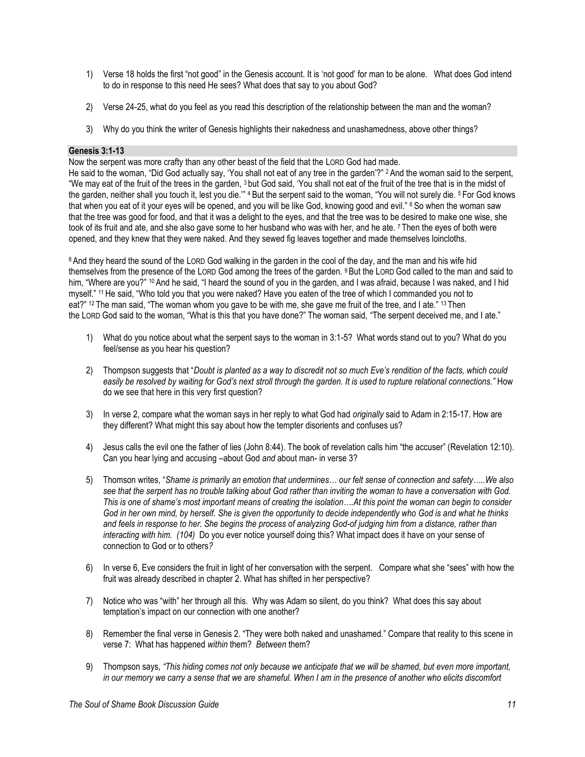- 1) Verse 18 holds the first "not good" in the Genesis account. It is 'not good' for man to be alone. What does God intend to do in response to this need He sees? What does that say to you about God?
- 2) Verse 24-25, what do you feel as you read this description of the relationship between the man and the woman?
- 3) Why do you think the writer of Genesis highlights their nakedness and unashamedness, above other things?

# **Genesis 3:1-13**

Now the serpent was more crafty than any other beast of the field that the LORD God had made.

He said to the woman, "Did God actually say, 'You shall not eat of any tree in the garden'?" <sup>2</sup> And the woman said to the serpent, "We may eat of the fruit of the trees in the garden, <sup>3</sup> but God said, 'You shall not eat of the fruit of the tree that is in the midst of the garden, neither shall you touch it, lest you die."<sup>4</sup> But the serpent said to the woman, "You will not surely die. <sup>5</sup> For God knows that when you eat of it your eyes will be opened, and you will be like God, knowing good and evil." <sup>6</sup> So when the woman saw that the tree was good for food, and that it was a delight to the eyes, and that the tree was to be desired to make one wise, she took of its fruit and ate, and she also gave some to her husband who was with her, and he ate. <sup>7</sup> Then the eyes of both were opened, and they knew that they were naked. And they sewed fig leaves together and made themselves loincloths.

<sup>8</sup> And they heard the sound of the LORD God walking in the garden in the cool of the day, and the man and his wife hid themselves from the presence of the LORD God among the trees of the garden. <sup>9</sup> But the LORD God called to the man and said to him, "Where are you?" <sup>10</sup> And he said, "I heard the sound of you in the garden, and I was afraid, because I was naked, and I hid myself." <sup>11</sup> He said, "Who told you that you were naked? Have you eaten of the tree of which I commanded you not to eat?" <sup>12</sup> The man said, "The woman whom you gave to be with me, she gave me fruit of the tree, and I ate." <sup>13</sup> Then the LORD God said to the woman, "What is this that you have done?" The woman said, "The serpent deceived me, and I ate."

- 1) What do you notice about what the serpent says to the woman in 3:1-5? What words stand out to you? What do you feel/sense as you hear his question?
- 2) Thompson suggests that "*Doubt is planted as a way to discredit not so much Eve's rendition of the facts, which could easily be resolved by waiting for God's next stroll through the garden. It is used to rupture relational connections."* How do we see that here in this very first question?
- 3) In verse 2, compare what the woman says in her reply to what God had *originally* said to Adam in 2:15-17. How are they different? What might this say about how the tempter disorients and confuses us?
- 4) Jesus calls the evil one the father of lies (John 8:44). The book of revelation calls him "the accuser" (Revelation 12:10). Can you hear lying and accusing –about God *and* about man- in verse 3?
- 5) Thomson writes, "*Shame is primarily an emotion that undermines… our felt sense of connection and safety…..We also see that the serpent has no trouble talking about God rather than inviting the woman to have a conversation with God. This is one of shame's most important means of creating the isolation….At this point the woman can begin to consider God in her own mind, by herself. She is given the opportunity to decide independently who God is and what he thinks and feels in response to her. She begins the process of analyzing God-of judging him from a distance, rather than interacting with him. (104)* Do you ever notice yourself doing this? What impact does it have on your sense of connection to God or to others*?*
- 6) In verse 6, Eve considers the fruit in light of her conversation with the serpent. Compare what she "sees" with how the fruit was already described in chapter 2. What has shifted in her perspective?
- 7) Notice who was "with" her through all this. Why was Adam so silent, do you think? What does this say about temptation's impact on our connection with one another?
- 8) Remember the final verse in Genesis 2. "They were both naked and unashamed." Compare that reality to this scene in verse 7: What has happened *within* them? *Between* them?
- 9) Thompson says, *"This hiding comes not only because we anticipate that we will be shamed, but even more important, in our memory we carry a sense that we are shameful. When I am in the presence of another who elicits discomfort*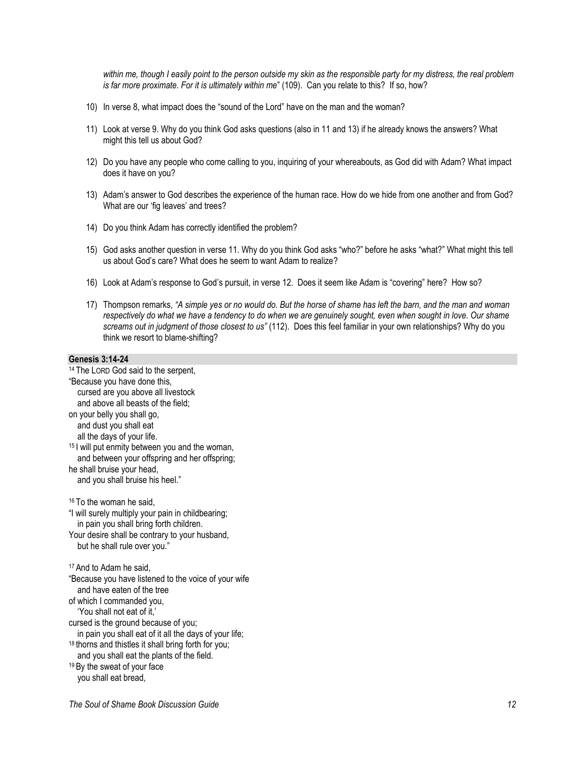*within me, though I easily point to the person outside my skin as the responsible party for my distress, the real problem is far more proximate. For it is ultimately within me*" (109). Can you relate to this? If so, how?

- 10) In verse 8, what impact does the "sound of the Lord" have on the man and the woman?
- 11) Look at verse 9. Why do you think God asks questions (also in 11 and 13) if he already knows the answers? What might this tell us about God?
- 12) Do you have any people who come calling to you, inquiring of your whereabouts, as God did with Adam? What impact does it have on you?
- 13) Adam's answer to God describes the experience of the human race. How do we hide from one another and from God? What are our 'fig leaves' and trees?
- 14) Do you think Adam has correctly identified the problem?
- 15) God asks another question in verse 11. Why do you think God asks "who?" before he asks "what?" What might this tell us about God's care? What does he seem to want Adam to realize?
- 16) Look at Adam's response to God's pursuit, in verse 12. Does it seem like Adam is "covering" here? How so?
- 17) Thompson remarks, *"A simple yes or no would do. But the horse of shame has left the barn, and the man and woman respectively do what we have a tendency to do when we are genuinely sought, even when sought in love. Our shame screams out in judgment of those closest to us"* (112). Does this feel familiar in your own relationships? Why do you think we resort to blame-shifting?

### **Genesis 3:14-24**

<sup>14</sup> The LORD God said to the serpent, "Because you have done this, cursed are you above all livestock and above all beasts of the field; on your belly you shall go, and dust you shall eat all the days of your life. <sup>15</sup> I will put enmity between you and the woman, and between your offspring and her offspring; he shall bruise your head, and you shall bruise his heel." <sup>16</sup> To the woman he said, "I will surely multiply your pain in childbearing; in pain you shall bring forth children. Your desire shall be contrary to your husband, but he shall rule over you." <sup>17</sup> And to Adam he said, "Because you have listened to the voice of your wife and have eaten of the tree of which I commanded you, 'You shall not eat of it,' cursed is the ground because of you; in pain you shall eat of it all the days of your life; <sup>18</sup> thorns and thistles it shall bring forth for you; and you shall eat the plants of the field. <sup>19</sup> By the sweat of your face you shall eat bread,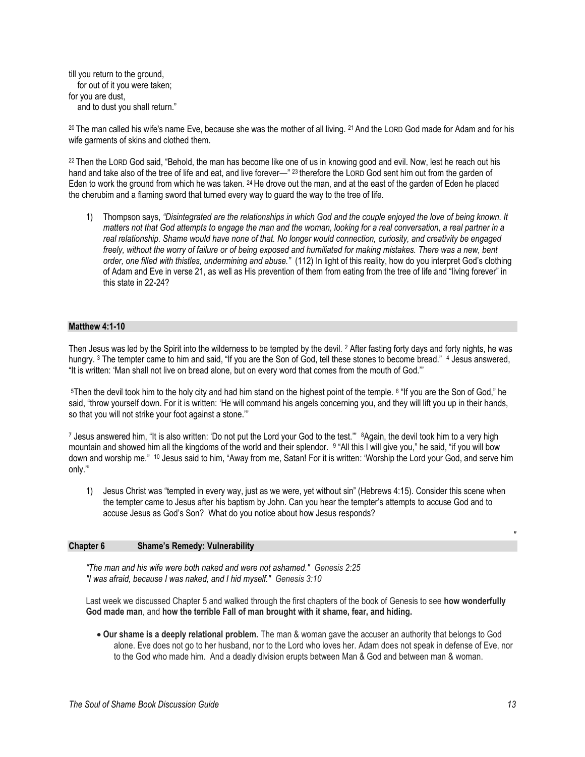till you return to the ground, for out of it you were taken; for you are dust, and to dust you shall return."

<sup>20</sup> The man called his wife's name Eve, because she was the mother of all living. <sup>21</sup> And the LORD God made for Adam and for his wife garments of skins and clothed them.

<sup>22</sup> Then the LORD God said, "Behold, the man has become like one of us in knowing good and evil. Now, lest he reach out his hand and take also of the tree of life and eat, and live forever—" 23 therefore the LORD God sent him out from the garden of Eden to work the ground from which he was taken. <sup>24</sup> He drove out the man, and at the east of the garden of Eden he placed the cherubim and a flaming sword that turned every way to guard the way to the tree of life.

1) Thompson says, *"Disintegrated are the relationships in which God and the couple enjoyed the love of being known. It*  matters not that God attempts to engage the man and the woman, looking for a real conversation, a real partner in a *real relationship. Shame would have none of that. No longer would connection, curiosity, and creativity be engaged*  freely, without the worry of failure or of being exposed and humiliated for making mistakes. There was a new, bent *order, one filled with thistles, undermining and abuse."* (112) In light of this reality, how do you interpret God's clothing of Adam and Eve in verse 21, as well as His prevention of them from eating from the tree of life and "living forever" in this state in 22-24?

#### **Matthew 4:1-10**

Then Jesus was led by the Spirit into the wilderness to be tempted by the devil. <sup>2</sup> After fasting forty days and forty nights, he was hungry. 3 The tempter came to him and said, "If you are the Son of God, tell these stones to become bread." 4 Jesus answered, "It is written: 'Man shall not live on bread alone, but on every word that comes from the mouth of God.'"

<sup>5</sup>Then the devil took him to the holy city and had him stand on the highest point of the temple. <sup>6</sup> "If you are the Son of God," he said, "throw yourself down. For it is written: 'He will command his angels concerning you, and they will lift you up in their hands, so that you will not strike your foot against a stone.'"

<sup>7</sup> Jesus answered him, "It is also written: 'Do not put the Lord your God to the test.'" 8Again, the devil took him to a very high mountain and showed him all the kingdoms of the world and their splendor. <sup>9</sup> "All this I will give you," he said, "if you will bow down and worship me." <sup>10</sup> Jesus said to him, "Away from me, Satan! For it is written: 'Worship the Lord your God, and serve him only.'"

1) Jesus Christ was "tempted in every way, just as we were, yet without sin" (Hebrews 4:15). Consider this scene when the tempter came to Jesus after his baptism by John. Can you hear the tempter's attempts to accuse God and to accuse Jesus as God's Son? What do you notice about how Jesus responds?

#### **Chapter 6 Shame's Remedy: Vulnerability**

*"The man and his wife were both naked and were not ashamed." Genesis 2:25 "I was afraid, because I was naked, and I hid myself." Genesis 3:10*

Last week we discussed Chapter 5 and walked through the first chapters of the book of Genesis to see **how wonderfully God made man**, and **how the terrible Fall of man brought with it shame, fear, and hiding.**

 **Our shame is a deeply relational problem.** The man & woman gave the accuser an authority that belongs to God alone. Eve does not go to her husband, nor to the Lord who loves her. Adam does not speak in defense of Eve, nor to the God who made him. And a deadly division erupts between Man & God and between man & woman.

*"*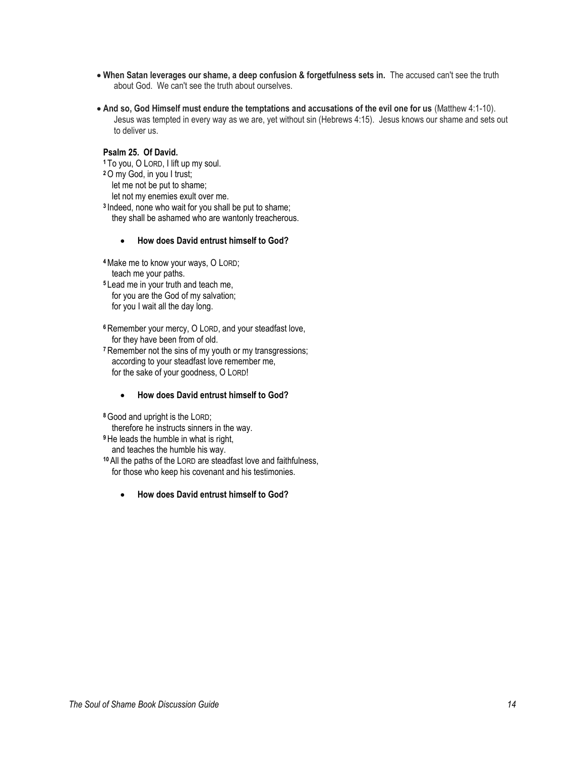- **When Satan leverages our shame, a deep confusion & forgetfulness sets in.** The accused can't see the truth about God. We can't see the truth about ourselves.
- **And so, God Himself must endure the temptations and accusations of the evil one for us** (Matthew 4:1-10). Jesus was tempted in every way as we are, yet without sin (Hebrews 4:15). Jesus knows our shame and sets out to deliver us.

# **Psalm 25. Of David.**

- **<sup>1</sup>**To you, O LORD, I lift up my soul.
- **<sup>2</sup>**O my God, in you I trust; let me not be put to shame;

let not my enemies exult over me.

**3** Indeed, none who wait for you shall be put to shame; they shall be ashamed who are wantonly treacherous.

# **How does David entrust himself to God?**

- **<sup>4</sup>**Make me to know your ways, O LORD; teach me your paths.
- **<sup>5</sup>** Lead me in your truth and teach me, for you are the God of my salvation; for you I wait all the day long.
- **<sup>6</sup>** Remember your mercy, O LORD, and your steadfast love, for they have been from of old.
- **<sup>7</sup>** Remember not the sins of my youth or my transgressions; according to your steadfast love remember me, for the sake of your goodness, O LORD!

# **How does David entrust himself to God?**

**<sup>8</sup>**Good and upright is the LORD;

therefore he instructs sinners in the way.

- **<sup>9</sup>** He leads the humble in what is right, and teaches the humble his way.
- **<sup>10</sup>** All the paths of the LORD are steadfast love and faithfulness, for those who keep his covenant and his testimonies.
	- **How does David entrust himself to God?**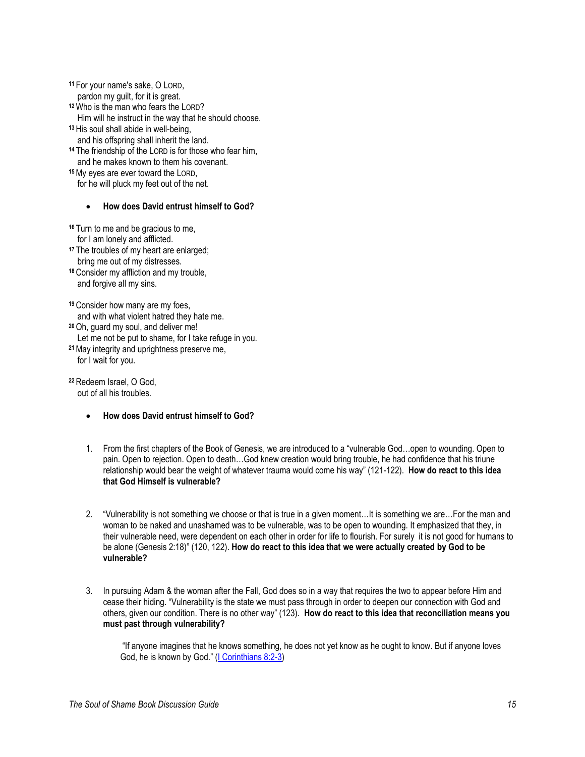**<sup>11</sup>** For your name's sake, O LORD, pardon my guilt, for it is great. **<sup>12</sup>**Who is the man who fears the LORD? Him will he instruct in the way that he should choose. **<sup>13</sup>** His soul shall abide in well-being, and his offspring shall inherit the land. **<sup>14</sup>** The friendship of the LORD is for those who fear him, and he makes known to them his covenant.

**<sup>15</sup>**My eyes are ever toward the LORD, for he will pluck my feet out of the net.

### **How does David entrust himself to God?**

**<sup>16</sup>** Turn to me and be gracious to me, for I am lonely and afflicted.

- **<sup>17</sup>** The troubles of my heart are enlarged; bring me out of my distresses.
- **<sup>18</sup>** Consider my affliction and my trouble, and forgive all my sins.

**<sup>19</sup>** Consider how many are my foes, and with what violent hatred they hate me.

**<sup>20</sup>**Oh, guard my soul, and deliver me!

Let me not be put to shame, for I take refuge in you.

**<sup>21</sup>**May integrity and uprightness preserve me, for I wait for you.

**<sup>22</sup>** Redeem Israel, O God, out of all his troubles.

- **How does David entrust himself to God?**
- 1. From the first chapters of the Book of Genesis, we are introduced to a "vulnerable God…open to wounding. Open to pain. Open to rejection. Open to death…God knew creation would bring trouble, he had confidence that his triune relationship would bear the weight of whatever trauma would come his way" (121-122). **How do react to this idea that God Himself is vulnerable?**
- 2. "Vulnerability is not something we choose or that is true in a given moment…It is something we are…For the man and woman to be naked and unashamed was to be vulnerable, was to be open to wounding. It emphasized that they, in their vulnerable need, were dependent on each other in order for life to flourish. For surely it is not good for humans to be alone (Genesis 2:18)" (120, 122). **How do react to this idea that we were actually created by God to be vulnerable?**
- 3. In pursuing Adam & the woman after the Fall, God does so in a way that requires the two to appear before Him and cease their hiding. "Vulnerability is the state we must pass through in order to deepen our connection with God and others, given our condition. There is no other way" (123). **How do react to this idea that reconciliation means you must past through vulnerability?**

"If anyone imagines that he knows something, he does not yet know as he ought to know. But if anyone loves God, he is known by God." (*I Corinthians 8:2-3*)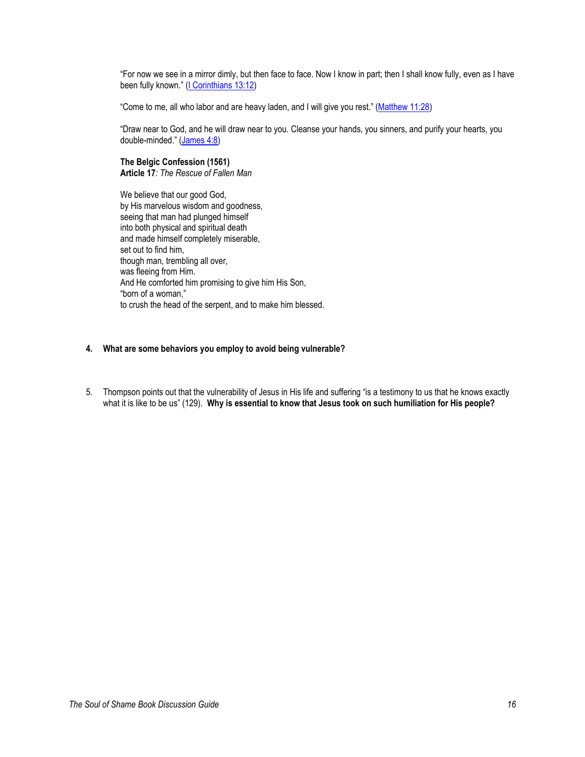"For now we see in a mirror dimly, but then face to face. Now I know in part; then I shall know fully, even as I have been fully known." ([I Corinthians 13:12\)](https://www.biblegateway.com/passage/?search=I+Corinthians+13%3A12&version=ESV)

"Come to me, all who labor and are heavy laden, and I will give you rest." ([Matthew 11:28\)](https://www.biblegateway.com/passage/?search=Matthew+11%3A28&version=ESV)

"Draw near to God, and he will draw near to you. Cleanse your hands, you sinners, and purify your hearts, you double-minded." ([James 4:8\)](https://www.biblegateway.com/passage/?search=James+4%3A8&version=ESV)

# **The Belgic Confession (1561)**

**Article 17***: The Rescue of Fallen Man*

We believe that our good God, by His marvelous wisdom and goodness, seeing that man had plunged himself into both physical and spiritual death and made himself completely miserable, set out to find him, though man, trembling all over, was fleeing from Him. And He comforted him promising to give him His Son, "born of a woman," to crush the head of the serpent, and to make him blessed.

### **4. What are some behaviors you employ to avoid being vulnerable?**

5. Thompson points out that the vulnerability of Jesus in His life and suffering "is a testimony to us that he knows exactly what it is like to be us" (129). **Why is essential to know that Jesus took on such humiliation for His people?**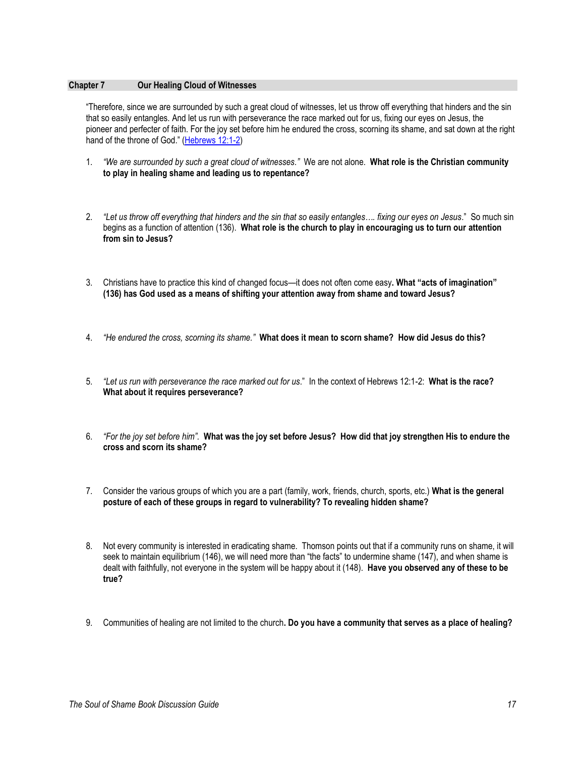### **Chapter 7 Our Healing Cloud of Witnesses**

"Therefore, since we are surrounded by such a great cloud of witnesses, let us throw off everything that hinders and the sin that so easily entangles. And let us run with perseverance the race marked out for us, fixing our eyes on Jesus, the pioneer and perfecter of faith. For the joy set before him he endured the cross, scorning its shame, and sat down at the right hand of the throne of God." [\(Hebrews 12:1-2\)](https://www.biblegateway.com/passage/?search=Hebrews+12%3A1-2&version=NIV)

- 1. *"We are surrounded by such a great cloud of witnesses."* We are not alone. **What role is the Christian community to play in healing shame and leading us to repentance?**
- 2. *"Let us throw off everything that hinders and the sin that so easily entangles…. fixing our eyes on Jesus*." So much sin begins as a function of attention (136). **What role is the church to play in encouraging us to turn our attention from sin to Jesus?**
- 3. Christians have to practice this kind of changed focus—it does not often come easy**. What "acts of imagination" (136) has God used as a means of shifting your attention away from shame and toward Jesus?**
- 4. *"He endured the cross, scorning its shame."* **What does it mean to scorn shame? How did Jesus do this?**
- 5. *"Let us run with perseverance the race marked out for us*." In the context of Hebrews 12:1-2: **What is the race? What about it requires perseverance?**
- 6. *"For the joy set before him".* **What was the joy set before Jesus? How did that joy strengthen His to endure the cross and scorn its shame?**
- 7. Consider the various groups of which you are a part (family, work, friends, church, sports, etc.) **What is the general posture of each of these groups in regard to vulnerability? To revealing hidden shame?**
- 8. Not every community is interested in eradicating shame. Thomson points out that if a community runs on shame, it will seek to maintain equilibrium (146), we will need more than "the facts" to undermine shame (147), and when shame is dealt with faithfully, not everyone in the system will be happy about it (148). **Have you observed any of these to be true?**
- 9. Communities of healing are not limited to the church**. Do you have a community that serves as a place of healing?**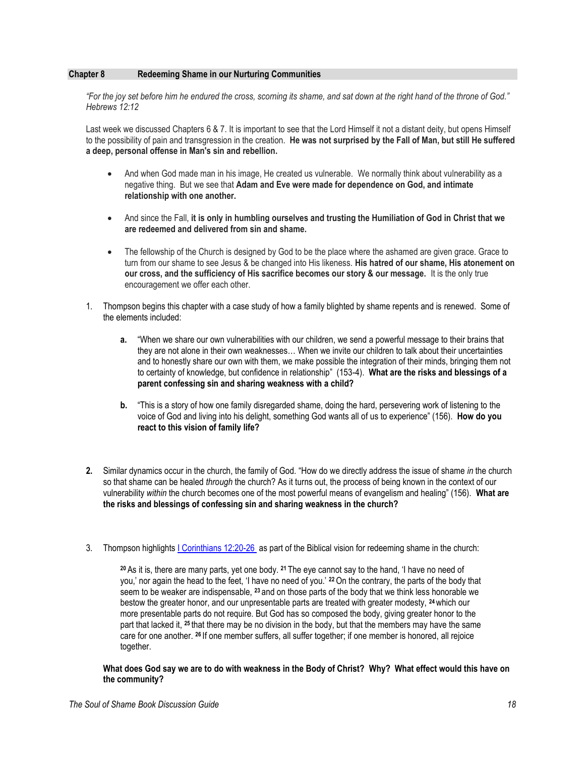# **Chapter 8 Redeeming Shame in our Nurturing Communities**

*"For the joy set before him he endured the cross, scorning its shame, and sat down at the right hand of the throne of God." Hebrews 12:12*

Last week we discussed Chapters 6 & 7. It is important to see that the Lord Himself it not a distant deity, but opens Himself to the possibility of pain and transgression in the creation. **He was not surprised by the Fall of Man, but still He suffered a deep, personal offense in Man's sin and rebellion.**

- And when God made man in his image, He created us vulnerable. We normally think about vulnerability as a negative thing. But we see that **Adam and Eve were made for dependence on God, and intimate relationship with one another.**
- And since the Fall, **it is only in humbling ourselves and trusting the Humiliation of God in Christ that we are redeemed and delivered from sin and shame.**
- The fellowship of the Church is designed by God to be the place where the ashamed are given grace. Grace to turn from our shame to see Jesus & be changed into His likeness. **His hatred of our shame, His atonement on our cross, and the sufficiency of His sacrifice becomes our story & our message.** It is the only true encouragement we offer each other.
- 1. Thompson begins this chapter with a case study of how a family blighted by shame repents and is renewed. Some of the elements included:
	- **a.** "When we share our own vulnerabilities with our children, we send a powerful message to their brains that they are not alone in their own weaknesses… When we invite our children to talk about their uncertainties and to honestly share our own with them, we make possible the integration of their minds, bringing them not to certainty of knowledge, but confidence in relationship" (153-4). **What are the risks and blessings of a parent confessing sin and sharing weakness with a child?**
	- **b.** "This is a story of how one family disregarded shame, doing the hard, persevering work of listening to the voice of God and living into his delight, something God wants all of us to experience" (156). **How do you react to this vision of family life?**
- **2.** Similar dynamics occur in the church, the family of God. "How do we directly address the issue of shame *in* the church so that shame can be healed *through* the church? As it turns out, the process of being known in the context of our vulnerability *within* the church becomes one of the most powerful means of evangelism and healing" (156). **What are the risks and blessings of confessing sin and sharing weakness in the church?**
- 3. Thompson highlights [I Corinthians 12:20-26](https://www.biblegateway.com/passage/?search=I+Corinthians+12%3A20-26++&version=ESV) as part of the Biblical vision for redeeming shame in the church:

**<sup>20</sup>** As it is, there are many parts, yet one body. **<sup>21</sup>** The eye cannot say to the hand, 'I have no need of you,' nor again the head to the feet, 'I have no need of you.' **<sup>22</sup>**On the contrary, the parts of the body that seem to be weaker are indispensable, **<sup>23</sup>** and on those parts of the body that we think less honorable we bestow the greater honor, and our unpresentable parts are treated with greater modesty, **<sup>24</sup>** which our more presentable parts do not require. But God has so composed the body, giving greater honor to the part that lacked it, **<sup>25</sup>** that there may be no division in the body, but that the members may have the same care for one another. **<sup>26</sup>** If one member suffers, all suffer together; if one member is honored, all rejoice together.

**What does God say we are to do with weakness in the Body of Christ? Why? What effect would this have on the community?**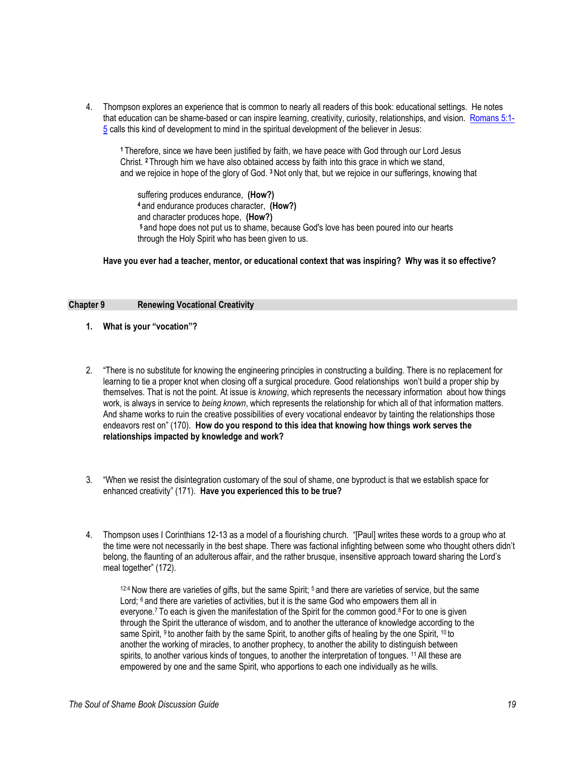4. Thompson explores an experience that is common to nearly all readers of this book: educational settings. He notes that education can be shame-based or can inspire learning, creativity, curiosity, relationships, and vision. [Romans 5:1-](https://www.biblegateway.com/passage/?search=Romans+5%3A1-5+&version=ESV) [5](https://www.biblegateway.com/passage/?search=Romans+5%3A1-5+&version=ESV) calls this kind of development to mind in the spiritual development of the believer in Jesus:

**<sup>1</sup>**Therefore, since we have been justified by faith, we have peace with God through our Lord Jesus Christ. **<sup>2</sup>** Through him we have also obtained access by faith into this grace in which we stand, and we rejoice in hope of the glory of God. **<sup>3</sup>** Not only that, but we rejoice in our sufferings, knowing that

suffering produces endurance, **(How?) <sup>4</sup>** and endurance produces character, **(How?)** and character produces hope, **(How?) <sup>5</sup>** and hope does not put us to shame, because God's love has been poured into our hearts through the Holy Spirit who has been given to us.

**Have you ever had a teacher, mentor, or educational context that was inspiring? Why was it so effective?**

#### **Chapter 9 Renewing Vocational Creativity**

- **1. What is your "vocation"?**
- 2. "There is no substitute for knowing the engineering principles in constructing a building. There is no replacement for learning to tie a proper knot when closing off a surgical procedure. Good relationships won't build a proper ship by themselves. That is not the point. At issue is *knowing*, which represents the necessary information about how things work, is always in service to *being known*, which represents the relationship for which all of that information matters. And shame works to ruin the creative possibilities of every vocational endeavor by tainting the relationships those endeavors rest on" (170). **How do you respond to this idea that knowing how things work serves the relationships impacted by knowledge and work?**
- 3. "When we resist the disintegration customary of the soul of shame, one byproduct is that we establish space for enhanced creativity" (171). **Have you experienced this to be true?**
- 4. Thompson uses I Corinthians 12-13 as a model of a flourishing church. "[Paul] writes these words to a group who at the time were not necessarily in the best shape. There was factional infighting between some who thought others didn't belong, the flaunting of an adulterous affair, and the rather brusque, insensitive approach toward sharing the Lord's meal together" (172).

 $12.4$  Now there are varieties of gifts, but the same Spirit;  $5$  and there are varieties of service, but the same Lord; 6 and there are varieties of activities, but it is the same God who empowers them all in everyone.<sup>7</sup> To each is given the manifestation of the Spirit for the common good.<sup>8</sup> For to one is given through the Spirit the utterance of wisdom, and to another the utterance of knowledge according to the same Spirit, <sup>9</sup> to another faith by the same Spirit, to another gifts of healing by the one Spirit, <sup>10</sup> to another the working of miracles, to another prophecy, to another the ability to distinguish between spirits, to another various kinds of tongues, to another the interpretation of tongues. <sup>11</sup> All these are empowered by one and the same Spirit, who apportions to each one individually as he wills.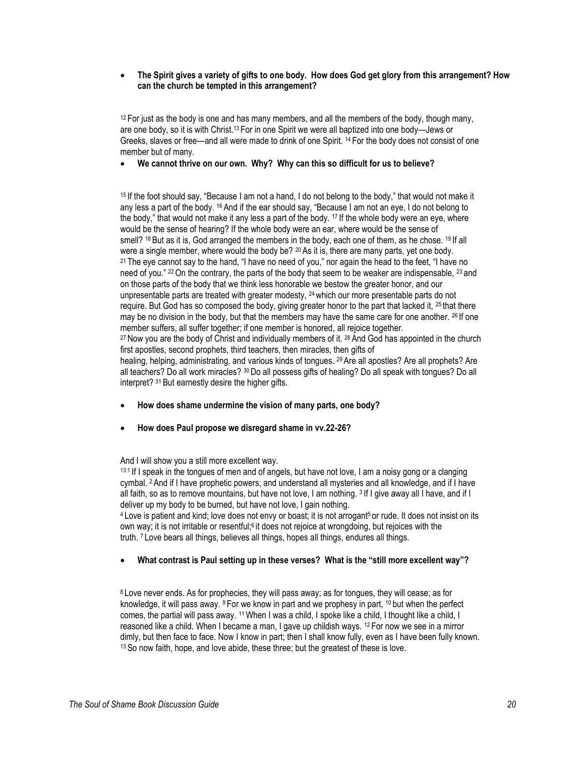### **The Spirit gives a variety of gifts to one body. How does God get glory from this arrangement? How can the church be tempted in this arrangement?**

 $12$  For just as the body is one and has many members, and all the members of the body, though many, are one body, so it is with Christ.<sup>13</sup> For in one Spirit we were all baptized into one body—Jews or Greeks, slaves or free—and all were made to drink of one Spirit. <sup>14</sup> For the body does not consist of one member but of many.

# **We cannot thrive on our own. Why? Why can this so difficult for us to believe?**

<sup>15</sup> If the foot should say, "Because I am not a hand, I do not belong to the body," that would not make it any less a part of the body. <sup>16</sup> And if the ear should say, "Because I am not an eye, I do not belong to the body," that would not make it any less a part of the body. <sup>17</sup> If the whole body were an eye, where would be the sense of hearing? If the whole body were an ear, where would be the sense of smell? <sup>18</sup> But as it is, God arranged the members in the body, each one of them, as he chose. <sup>19</sup> If all were a single member, where would the body be? <sup>20</sup> As it is, there are many parts, yet one body. <sup>21</sup> The eye cannot say to the hand, "I have no need of you," nor again the head to the feet, "I have no need of you." 22 On the contrary, the parts of the body that seem to be weaker are indispensable, 23 and on those parts of the body that we think less honorable we bestow the greater honor, and our unpresentable parts are treated with greater modesty,  $^{24}$  which our more presentable parts do not require. But God has so composed the body, giving greater honor to the part that lacked it, 25 that there may be no division in the body, but that the members may have the same care for one another. <sup>26</sup> If one member suffers, all suffer together; if one member is honored, all rejoice together. <sup>27</sup> Now you are the body of Christ and individually members of it. <sup>28</sup> And God has appointed in the church first apostles, second prophets, third teachers, then miracles, then gifts of healing, helping, administrating, and various kinds of tongues. <sup>29</sup> Are all apostles? Are all prophets? Are all teachers? Do all work miracles? <sup>30</sup> Do all possess gifts of healing? Do all speak with tongues? Do all interpret? <sup>31</sup> But earnestly desire the higher gifts.

- **How does shame undermine the vision of many parts, one body?**
- **How does Paul propose we disregard shame in vv.22-26?**

And I will show you a still more excellent way.

13:1 If I speak in the tongues of men and of angels, but have not love, I am a noisy gong or a clanging cymbal. <sup>2</sup> And if I have prophetic powers, and understand all mysteries and all knowledge, and if I have all faith, so as to remove mountains, but have not love, I am nothing. <sup>3</sup> If I give away all I have, and if I deliver up my body to be burned, but have not love, I gain nothing.

<sup>4</sup> Love is patient and kind; love does not envy or boast; it is not arrogant<sup>5</sup> or rude. It does not insist on its own way; it is not irritable or resentful;<sup>6</sup> it does not rejoice at wrongdoing, but rejoices with the truth. <sup>7</sup> Love bears all things, believes all things, hopes all things, endures all things.

# **What contrast is Paul setting up in these verses? What is the "still more excellent way"?**

<sup>8</sup> Love never ends. As for prophecies, they will pass away; as for tongues, they will cease; as for knowledge, it will pass away.  $9$  For we know in part and we prophesy in part,  $10$  but when the perfect comes, the partial will pass away. <sup>11</sup> When I was a child, I spoke like a child, I thought like a child, I reasoned like a child. When I became a man, I gave up childish ways. <sup>12</sup> For now we see in a mirror dimly, but then face to face. Now I know in part; then I shall know fully, even as I have been fully known. <sup>13</sup> So now faith, hope, and love abide, these three; but the greatest of these is love.